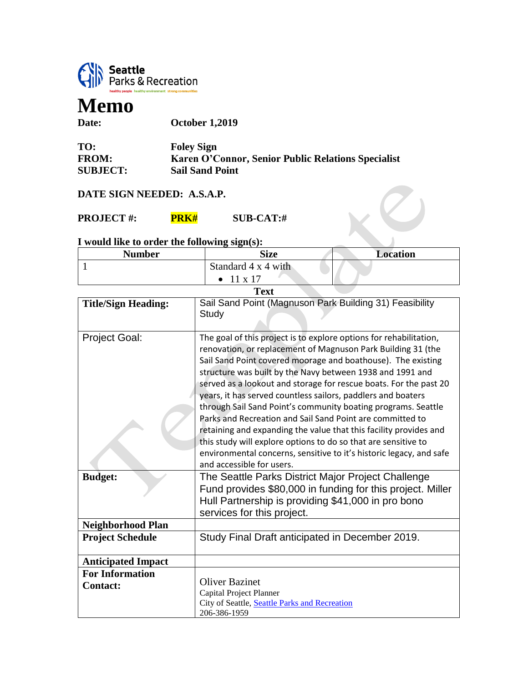

## **Memo**

**Date: October 1,2019**

| TO:             | <b>Foley Sign</b>                                  |
|-----------------|----------------------------------------------------|
| <b>FROM:</b>    | Karen O'Connor, Senior Public Relations Specialist |
| <b>SUBJECT:</b> | <b>Sail Sand Point</b>                             |

## **DATE SIGN NEEDED: A.S.A.P.**

**PROJECT #: PRK# SUB-CAT:#** 

## **I would like to order the following sign(s):**

| Number | Size                | <b>Location</b> |
|--------|---------------------|-----------------|
|        | Standard 4 x 4 with |                 |
|        | $\bullet$ 11 x 17   |                 |

 $\bigcirc$ 

| <b>Text</b>                               |                                                                                                                                                                                                                                                                                                                                                                                                      |  |
|-------------------------------------------|------------------------------------------------------------------------------------------------------------------------------------------------------------------------------------------------------------------------------------------------------------------------------------------------------------------------------------------------------------------------------------------------------|--|
| <b>Title/Sign Heading:</b>                | Sail Sand Point (Magnuson Park Building 31) Feasibility                                                                                                                                                                                                                                                                                                                                              |  |
|                                           | Study                                                                                                                                                                                                                                                                                                                                                                                                |  |
|                                           |                                                                                                                                                                                                                                                                                                                                                                                                      |  |
| <b>Project Goal:</b>                      | The goal of this project is to explore options for rehabilitation,<br>renovation, or replacement of Magnuson Park Building 31 (the<br>Sail Sand Point covered moorage and boathouse). The existing<br>structure was built by the Navy between 1938 and 1991 and<br>served as a lookout and storage for rescue boats. For the past 20<br>years, it has served countless sailors, paddlers and boaters |  |
|                                           | through Sail Sand Point's community boating programs. Seattle<br>Parks and Recreation and Sail Sand Point are committed to<br>retaining and expanding the value that this facility provides and<br>this study will explore options to do so that are sensitive to<br>environmental concerns, sensitive to it's historic legacy, and safe<br>and accessible for users.                                |  |
| <b>Budget:</b>                            | The Seattle Parks District Major Project Challenge<br>Fund provides \$80,000 in funding for this project. Miller<br>Hull Partnership is providing \$41,000 in pro bono<br>services for this project.                                                                                                                                                                                                 |  |
| <b>Neighborhood Plan</b>                  |                                                                                                                                                                                                                                                                                                                                                                                                      |  |
| <b>Project Schedule</b>                   | Study Final Draft anticipated in December 2019.                                                                                                                                                                                                                                                                                                                                                      |  |
| <b>Anticipated Impact</b>                 |                                                                                                                                                                                                                                                                                                                                                                                                      |  |
| <b>For Information</b><br><b>Contact:</b> | <b>Oliver Bazinet</b><br>Capital Project Planner<br>City of Seattle, Seattle Parks and Recreation<br>206-386-1959                                                                                                                                                                                                                                                                                    |  |